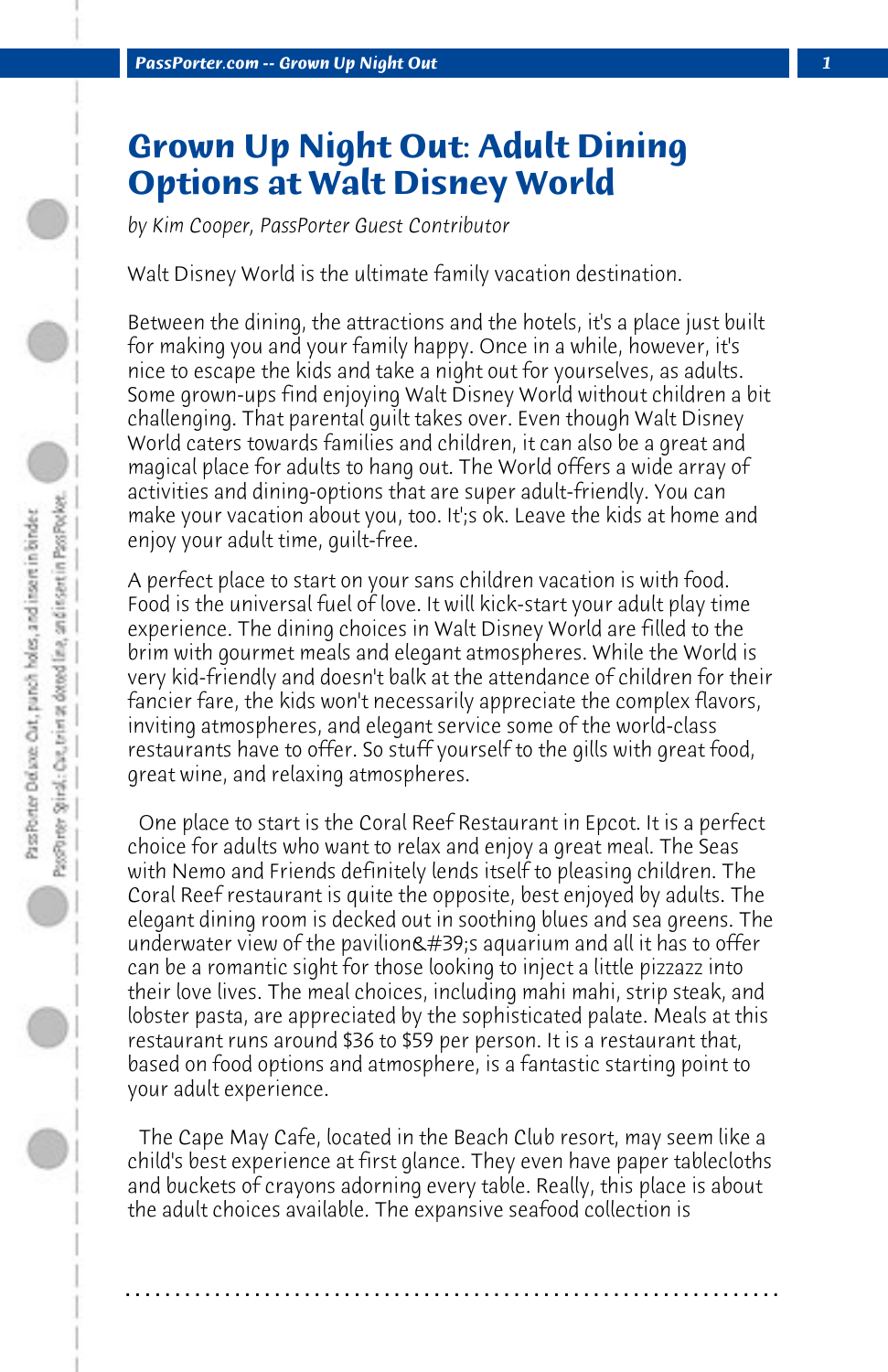## **Grown Up Night Out: Adult Dining Options at Walt Disney World**

*by Kim Cooper, PassPorter Guest Contributor*

Walt Disney World is the ultimate family vacation destination.

Between the dining, the attractions and the hotels, it's a place just built for making you and your family happy. Once in a while, however, it's nice to escape the kids and take a night out for yourselves, as adults. Some grown-ups find enjoying Walt Disney World without children a bit challenging. That parental guilt takes over. Even though Walt Disney World caters towards families and children, it can also be a great and magical place for adults to hang out. The World offers a wide array of activities and dining-options that are super adult-friendly. You can make your vacation about you, too. It';s ok. Leave the kids at home and enjoy your adult time, guilt-free.

A perfect place to start on your sans children vacation is with food. Food is the universal fuel of love. It will kick-start your adult play time experience. The dining choices in Walt Disney World are filled to the brim with gourmet meals and elegant atmospheres. While the World is very kid-friendly and doesn't balk at the attendance of children for their fancier fare, the kids won't necessarily appreciate the complex flavors, inviting atmospheres, and elegant service some of the world-class restaurants have to offer. So stuff yourself to the gills with great food, great wine, and relaxing atmospheres.

 One place to start is the Coral Reef Restaurant in Epcot. It is a perfect choice for adults who want to relax and enjoy a great meal. The Seas with Nemo and Friends definitely lends itself to pleasing children. The Coral Reef restaurant is quite the opposite, best enjoyed by adults. The elegant dining room is decked out in soothing blues and sea greens. The underwater view of the pavilion  $\&\#39$ ; aquarium and all it has to offer can be a romantic sight for those looking to inject a little pizzazz into their love lives. The meal choices, including mahi mahi, strip steak, and lobster pasta, are appreciated by the sophisticated palate. Meals at this restaurant runs around \$36 to \$59 per person. It is a restaurant that, based on food options and atmosphere, is a fantastic starting point to your adult experience.

 The Cape May Cafe, located in the Beach Club resort, may seem like a child's best experience at first glance. They even have paper tablecloths and buckets of crayons adorning every table. Really, this place is about the adult choices available. The expansive seafood collection is

**. . . . . . . . . . . . . . . . . . . . . . . . . . . . . . . . . . . . . . . . . . . . . . . . . . . . . . . . . . . . . . . . . .**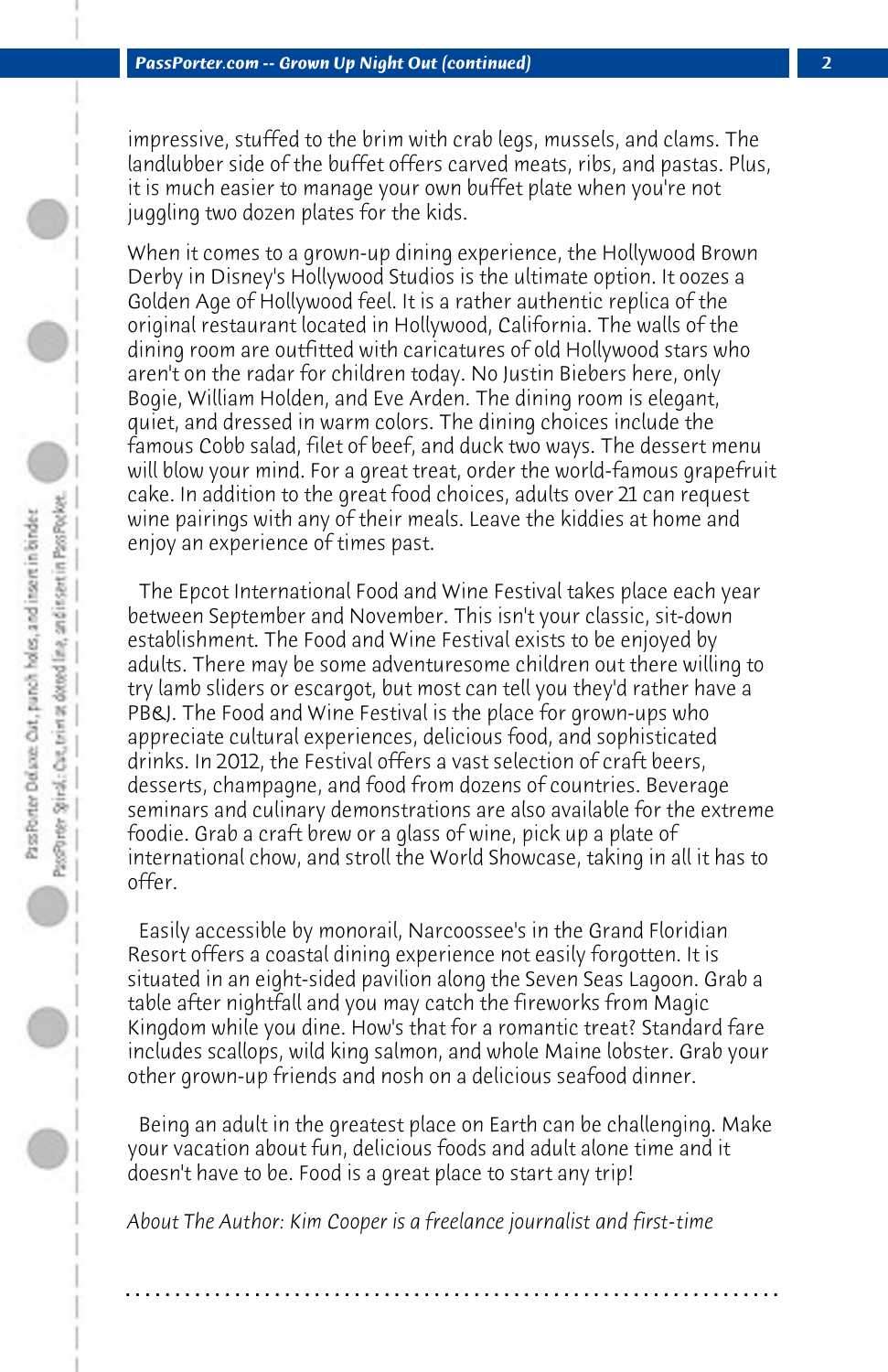impressive, stuffed to the brim with crab legs, mussels, and clams. The landlubber side of the buffet offers carved meats, ribs, and pastas. Plus, it is much easier to manage your own buffet plate when you're not juggling two dozen plates for the kids.

When it comes to a grown-up dining experience, the Hollywood Brown Derby in Disney's Hollywood Studios is the ultimate option. It oozes a Golden Age of Hollywood feel. It is a rather authentic replica of the original restaurant located in Hollywood, California. The walls of the dining room are outfitted with caricatures of old Hollywood stars who aren't on the radar for children today. No Justin Biebers here, only Bogie, William Holden, and Eve Arden. The dining room is elegant, quiet, and dressed in warm colors. The dining choices include the famous Cobb salad, filet of beef, and duck two ways. The dessert menu will blow your mind. For a great treat, order the world-famous grapefruit cake. In addition to the great food choices, adults over 21 can request wine pairings with any of their meals. Leave the kiddies at home and enjoy an experience of times past.

 The Epcot International Food and Wine Festival takes place each year between September and November. This isn't your classic, sit-down establishment. The Food and Wine Festival exists to be enjoyed by adults. There may be some adventuresome children out there willing to try lamb sliders or escargot, but most can tell you they'd rather have a PB&J. The Food and Wine Festival is the place for grown-ups who appreciate cultural experiences, delicious food, and sophisticated drinks. In 2012, the Festival offers a vast selection of craft beers, desserts, champagne, and food from dozens of countries. Beverage seminars and culinary demonstrations are also available for the extreme foodie. Grab a craft brew or a glass of wine, pick up a plate of international chow, and stroll the World Showcase, taking in all it has to offer.

 Easily accessible by monorail, Narcoossee's in the Grand Floridian Resort offers a coastal dining experience not easily forgotten. It is situated in an eight-sided pavilion along the Seven Seas Lagoon. Grab a table after nightfall and you may catch the fireworks from Magic Kingdom while you dine. How's that for a romantic treat? Standard fare includes scallops, wild king salmon, and whole Maine lobster. Grab your other grown-up friends and nosh on a delicious seafood dinner.

 Being an adult in the greatest place on Earth can be challenging. Make your vacation about fun, delicious foods and adult alone time and it doesn't have to be. Food is a great place to start any trip!

**. . . . . . . . . . . . . . . . . . . . . . . . . . . . . . . . . . . . . . . . . . . . . . . . . . . . . . . . . . . . . . . . . .**

*About The Author: Kim Cooper is a freelance journalist and first-time*